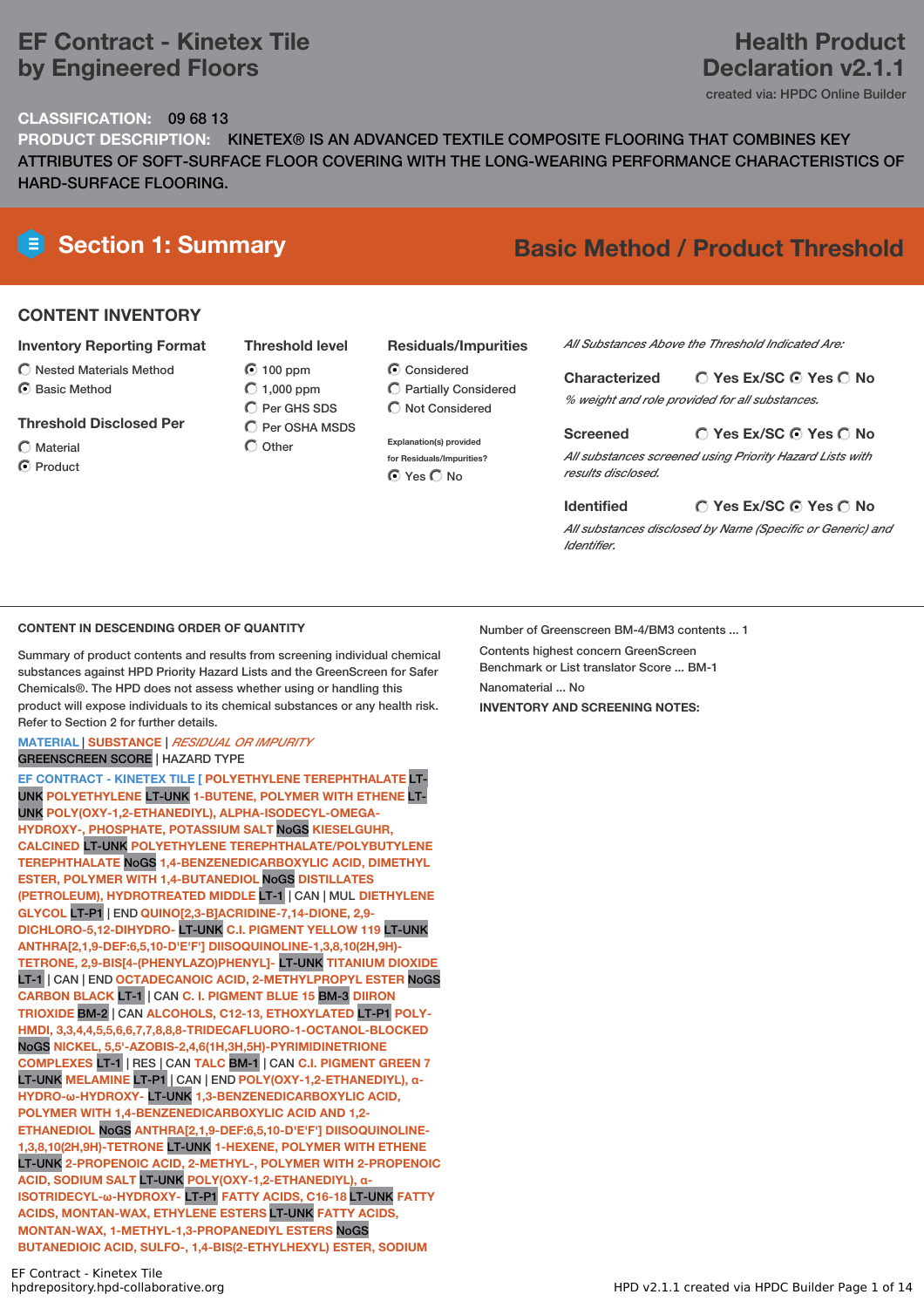# **EF Contract - Kinetex Tile by Engineered Floors**

# **Health Product Declaration v2.1.1**

created via: HPDC Online Builder

## **CLASSIFICATION:** 09 68 13

**PRODUCT DESCRIPTION:** KINETEX® IS AN ADVANCED TEXTILE COMPOSITE FLOORING THAT COMBINES KEY ATTRIBUTES OF SOFT-SURFACE FLOOR COVERING WITH THE LONG-WEARING PERFORMANCE CHARACTERISTICS OF HARD-SURFACE FLOORING.

# **Section 1: Summary Basic Method / Product Threshold**

## **CONTENT INVENTORY**

## **Inventory Reporting Format**

- $\bigcirc$  Nested Materials Method
- C Rasic Method
- **Threshold Disclosed Per**
- Material
- **O** Product

**Threshold level**  $\odot$  100 ppm  $O$  1,000 ppm C Per GHS SDS  $\overline{C}$  Per OSHA MSDS

 $\bigcap$  Other

- **Residuals/Impurities**
- C Considered Partially Considered  $\bigcap$  Not Considered
- **Explanation(s) provided for Residuals/Impurities? O** Yes O No

*All Substances Above the Threshold Indicated Are:*

**Yes Ex/SC Yes No Characterized** *% weight and role provided for all substances.*

### **Yes Ex/SC Yes No Screened**

*All substances screened using Priority Hazard Lists with results disclosed.*

## **Identified**

*All substances disclosed by Name (Specific or Generic) and Identifier.*

**Yes Ex/SC Yes No**

## **CONTENT IN DESCENDING ORDER OF QUANTITY**

Summary of product contents and results from screening individual chemical substances against HPD Priority Hazard Lists and the GreenScreen for Safer Chemicals®. The HPD does not assess whether using or handling this product will expose individuals to its chemical substances or any health risk. Refer to Section 2 for further details.

### **MATERIAL** | **SUBSTANCE** | *RESIDUAL OR IMPURITY* GREENSCREEN SCORE | HAZARD TYPE

**EF CONTRACT - KINETEX TILE [ POLYETHYLENE TEREPHTHALATE** LT-UNK **POLYETHYLENE** LT-UNK **1-BUTENE, POLYMER WITH ETHENE** LT-UNK **POLY(OXY-1,2-ETHANEDIYL), ALPHA-ISODECYL-OMEGA-HYDROXY-, PHOSPHATE, POTASSIUM SALT** NoGS **KIESELGUHR, CALCINED** LT-UNK **POLYETHYLENE TEREPHTHALATE/POLYBUTYLENE TEREPHTHALATE** NoGS **1,4-BENZENEDICARBOXYLIC ACID, DIMETHYL ESTER, POLYMER WITH 1,4-BUTANEDIOL** NoGS **DISTILLATES (PETROLEUM), HYDROTREATED MIDDLE** LT-1 | CAN | MUL **DIETHYLENE GLYCOL** LT-P1 | END **QUINO[2,3-B]ACRIDINE-7,14-DIONE, 2,9- DICHLORO-5,12-DIHYDRO-** LT-UNK **C.I. PIGMENT YELLOW 119** LT-UNK **ANTHRA[2,1,9-DEF:6,5,10-D'E'F'] DIISOQUINOLINE-1,3,8,10(2H,9H)- TETRONE, 2,9-BIS[4-(PHENYLAZO)PHENYL]-** LT-UNK **TITANIUM DIOXIDE** LT-1 | CAN | END **OCTADECANOIC ACID, 2-METHYLPROPYL ESTER** NoGS **CARBON BLACK** LT-1 | CAN **C. I. PIGMENT BLUE 15** BM-3 **DIIRON TRIOXIDE** BM-2 | CAN **ALCOHOLS, C12-13, ETHOXYLATED** LT-P1 **POLY-HMDI, 3,3,4,4,5,5,6,6,7,7,8,8,8-TRIDECAFLUORO-1-OCTANOL-BLOCKED** NoGS **NICKEL, 5,5'-AZOBIS-2,4,6(1H,3H,5H)-PYRIMIDINETRIONE COMPLEXES** LT-1 | RES | CAN **TALC** BM-1 | CAN **C.I. PIGMENT GREEN 7** LT-UNK **MELAMINE** LT-P1 | CAN | END **POLY(OXY-1,2-ETHANEDIYL), α-HYDRO-ω-HYDROXY-** LT-UNK **1,3-BENZENEDICARBOXYLIC ACID, POLYMER WITH 1,4-BENZENEDICARBOXYLIC ACID AND 1,2- ETHANEDIOL** NoGS **ANTHRA[2,1,9-DEF:6,5,10-D'E'F'] DIISOQUINOLINE-1,3,8,10(2H,9H)-TETRONE** LT-UNK **1-HEXENE, POLYMER WITH ETHENE** LT-UNK **2-PROPENOIC ACID, 2-METHYL-, POLYMER WITH 2-PROPENOIC ACID, SODIUM SALT** LT-UNK **POLY(OXY-1,2-ETHANEDIYL), α-ISOTRIDECYL-ω-HYDROXY-** LT-P1 **FATTY ACIDS, C16-18** LT-UNK **FATTY ACIDS, MONTAN-WAX, ETHYLENE ESTERS** LT-UNK **FATTY ACIDS, MONTAN-WAX, 1-METHYL-1,3-PROPANEDIYL ESTERS** NoGS **BUTANEDIOIC ACID, SULFO-, 1,4-BIS(2-ETHYLHEXYL) ESTER, SODIUM**

Number of Greenscreen BM-4/BM3 contents ... 1 Contents highest concern GreenScreen Benchmark or List translator Score ... BM-1 Nanomaterial ... No **INVENTORY AND SCREENING NOTES:**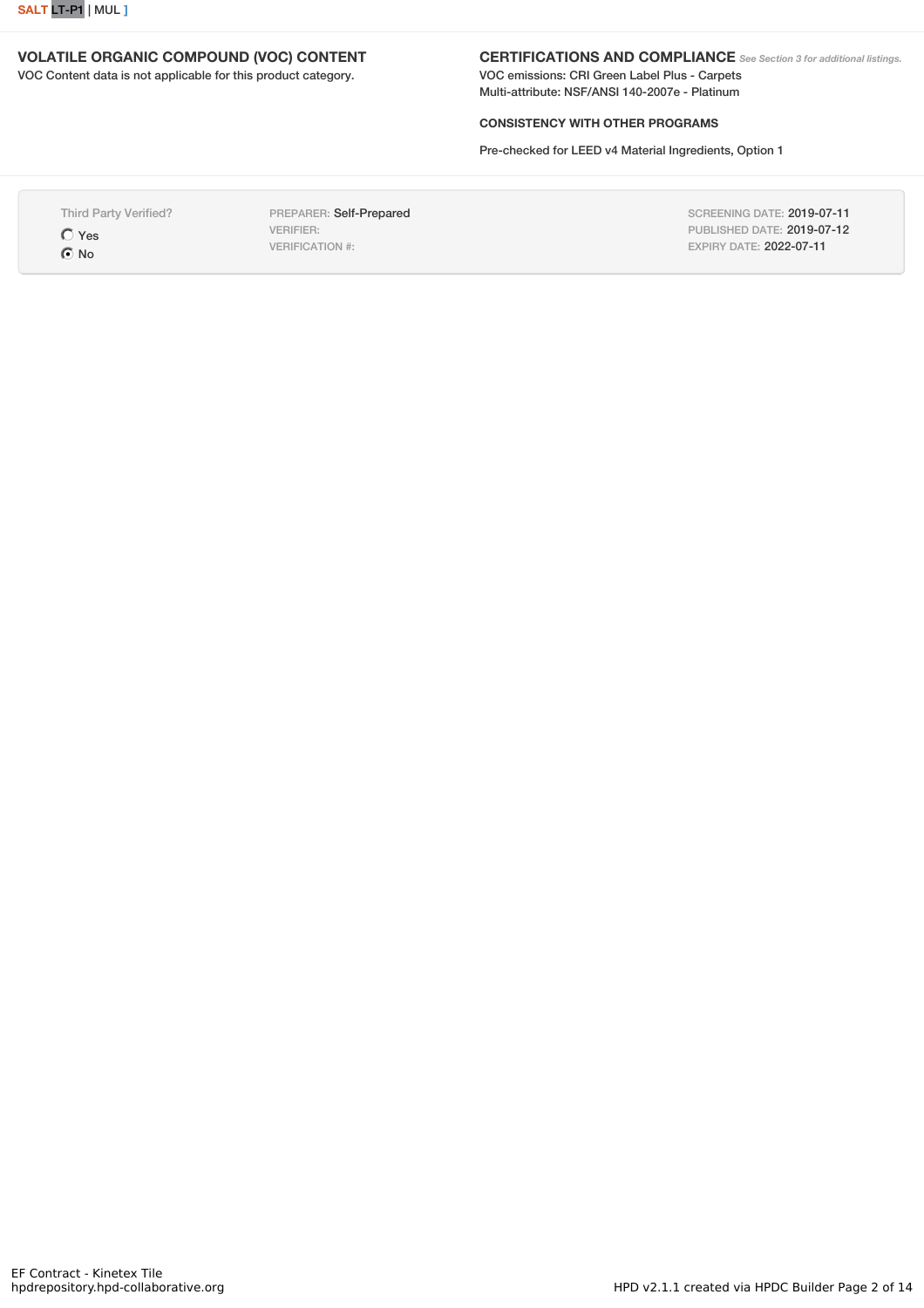

## **VOLATILE ORGANIC COMPOUND (VOC) CONTENT**

VOC Content data is not applicable for this product category.

### **CERTIFICATIONS AND COMPLIANCE** *See Section <sup>3</sup> for additional listings.*

VOC emissions: CRI Green Label Plus - Carpets Multi-attribute: NSF/ANSI 140-2007e - Platinum

## **CONSISTENCY WITH OTHER PROGRAMS**

Pre-checked for LEED v4 Material Ingredients, Option 1

Third Party Verified? Yes  $\odot$  No

PREPARER: Self-Prepared VERIFIER: VERIFICATION #:

SCREENING DATE: 2019-07-11 PUBLISHED DATE: 2019-07-12 EXPIRY DATE: 2022-07-11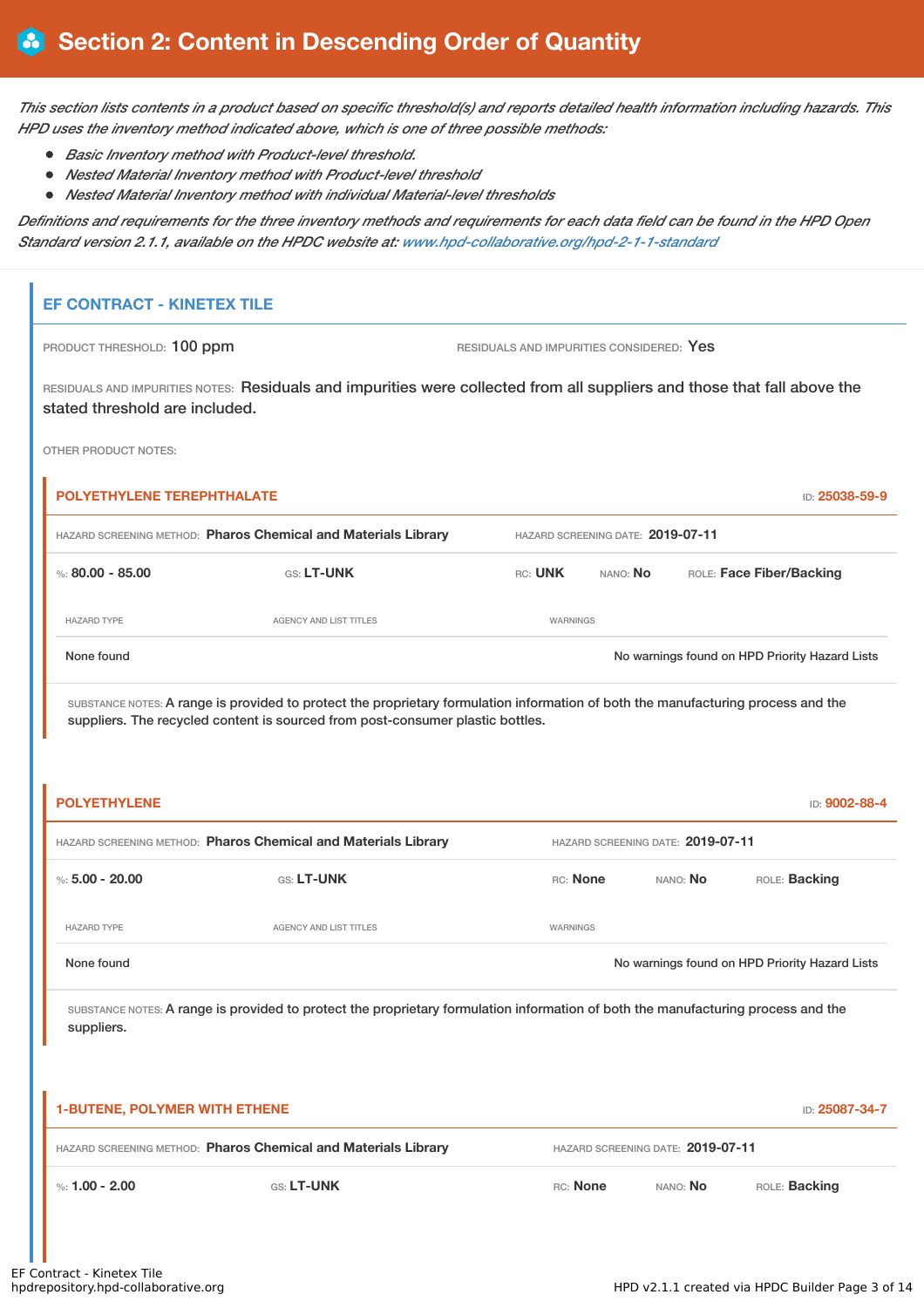This section lists contents in a product based on specific threshold(s) and reports detailed health information including hazards. This *HPD uses the inventory method indicated above, which is one of three possible methods:*

- *Basic Inventory method with Product-level threshold.*
- *Nested Material Inventory method with Product-level threshold*
- *Nested Material Inventory method with individual Material-level thresholds*

Definitions and requirements for the three inventory methods and requirements for each data field can be found in the HPD Open *Standard version 2.1.1, available on the HPDC website at: [www.hpd-collaborative.org/hpd-2-1-1-standard](https://www.hpd-collaborative.org/hpd-2-1-1-standard)*

## **EF CONTRACT - KINETEX TILE**

PRODUCT THRESHOLD: 100 ppm RESIDUALS AND IMPURITIES CONSIDERED: Yes

RESIDUALS AND IMPURITIES NOTES: Residuals and impurities were collected from all suppliers and those that fall above the stated threshold are included.

OTHER PRODUCT NOTES:

| <b>POLYETHYLENE TEREPHTHALATE</b> |                                                                                                                                                                                                                     |          |                                   | ID: 25038-59-9                                 |
|-----------------------------------|---------------------------------------------------------------------------------------------------------------------------------------------------------------------------------------------------------------------|----------|-----------------------------------|------------------------------------------------|
|                                   | HAZARD SCREENING METHOD: Pharos Chemical and Materials Library                                                                                                                                                      |          | HAZARD SCREENING DATE: 2019-07-11 |                                                |
| %: 80.00 - 85.00                  | <b>GS: LT-UNK</b>                                                                                                                                                                                                   | RC: UNK  | nano: <b>No</b>                   | ROLE: Face Fiber/Backing                       |
| <b>HAZARD TYPE</b>                | <b>AGENCY AND LIST TITLES</b>                                                                                                                                                                                       | WARNINGS |                                   |                                                |
| None found                        |                                                                                                                                                                                                                     |          |                                   | No warnings found on HPD Priority Hazard Lists |
|                                   | SUBSTANCE NOTES: A range is provided to protect the proprietary formulation information of both the manufacturing process and the<br>suppliers. The recycled content is sourced from post-consumer plastic bottles. |          |                                   |                                                |

| <b>POLYETHYLENE</b>                                            |                               |          |                                   | <b>ID: 9002-88-4</b>                           |
|----------------------------------------------------------------|-------------------------------|----------|-----------------------------------|------------------------------------------------|
| HAZARD SCREENING METHOD: Pharos Chemical and Materials Library |                               |          | HAZARD SCREENING DATE: 2019-07-11 |                                                |
| %: $5.00 - 20.00$                                              | GS: LT-UNK                    | RC: None | NANO: No                          | ROLE: Backing                                  |
| <b>HAZARD TYPE</b>                                             | <b>AGENCY AND LIST TITLES</b> | WARNINGS |                                   |                                                |
| None found                                                     |                               |          |                                   | No warnings found on HPD Priority Hazard Lists |
|                                                                |                               |          |                                   |                                                |

| 1-BUTENE, POLYMER WITH ETHENE                                  |                   |          |                                   | ID: 25087-34-7       |
|----------------------------------------------------------------|-------------------|----------|-----------------------------------|----------------------|
| HAZARD SCREENING METHOD: Pharos Chemical and Materials Library |                   |          | HAZARD SCREENING DATE: 2019-07-11 |                      |
| %: 1.00 - 2.00                                                 | <b>GS: LT-UNK</b> | RC: None | NANO: No                          | ROLE: <b>Backing</b> |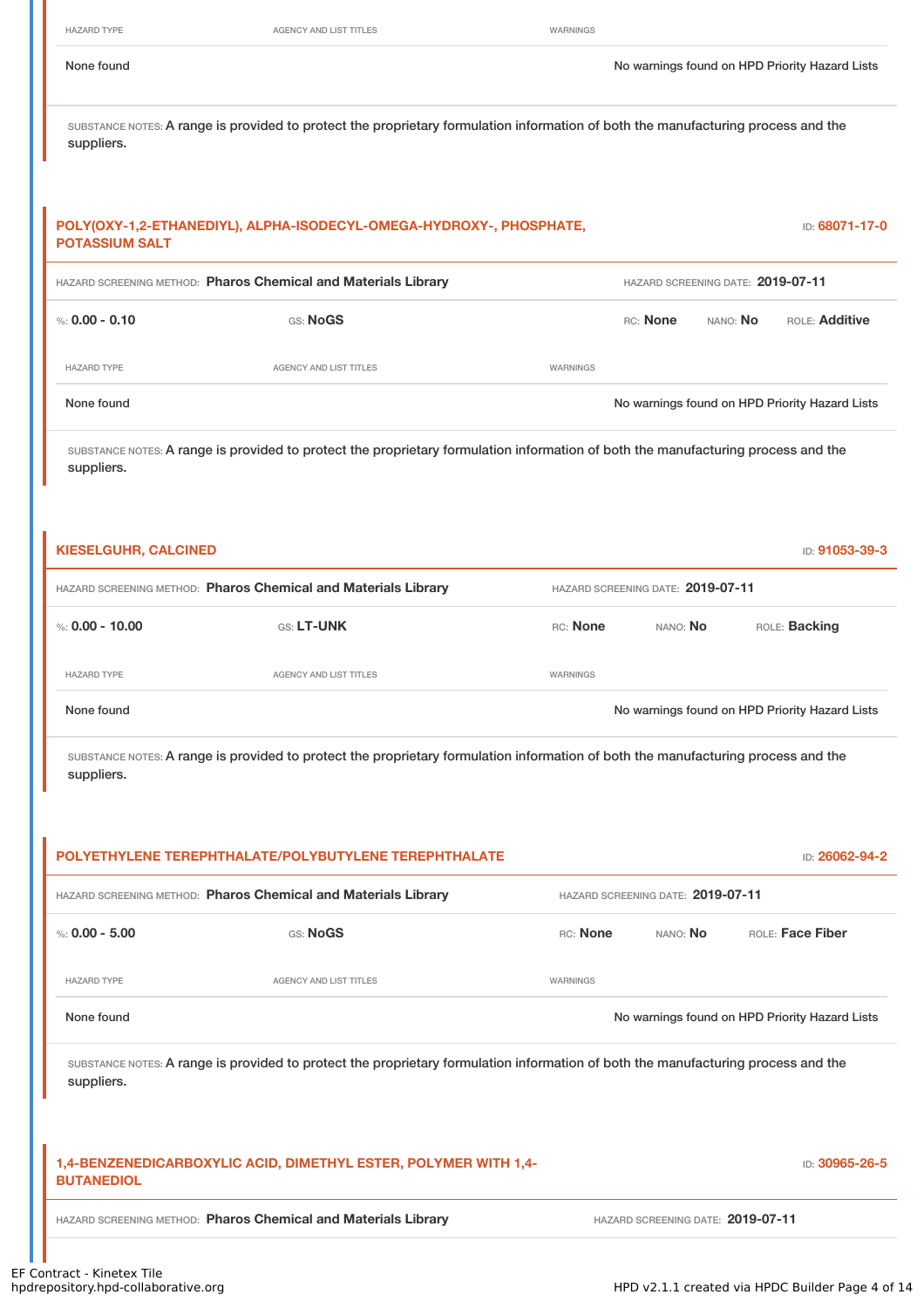HAZARD TYPE **AGENCY AND LIST TITLES** WARNINGS

None found Nowarnings found on HPD Priority Hazard Lists

SUBSTANCE NOTES: A range is provided to protect the proprietary formulation information of both the manufacturing process and the suppliers.

| <b>POTASSIUM SALT</b> | POLY(OXY-1,2-ETHANEDIYL), ALPHA-ISODECYL-OMEGA-HYDROXY-, PHOSPHATE, |          |          |                                   | <b>ID: 68071-17-0</b>                          |
|-----------------------|---------------------------------------------------------------------|----------|----------|-----------------------------------|------------------------------------------------|
|                       | HAZARD SCREENING METHOD: Pharos Chemical and Materials Library      |          |          | HAZARD SCREENING DATE: 2019-07-11 |                                                |
| %: 0.00 - 0.10        | GS: NoGS                                                            |          | RC: None | NANO: <b>No</b>                   | <b>ROLE: Additive</b>                          |
| <b>HAZARD TYPE</b>    | AGENCY AND LIST TITLES                                              | WARNINGS |          |                                   |                                                |
| None found            |                                                                     |          |          |                                   | No warnings found on HPD Priority Hazard Lists |
|                       |                                                                     |          |          |                                   |                                                |

SUBSTANCE NOTES: A range is provided to protect the proprietary formulation information of both the manufacturing process and the suppliers.

| <b>KIESELGUHR, CALCINED</b> |                                                                |          |                                   | ID: 91053-39-3                                 |  |
|-----------------------------|----------------------------------------------------------------|----------|-----------------------------------|------------------------------------------------|--|
|                             | HAZARD SCREENING METHOD: Pharos Chemical and Materials Library |          | HAZARD SCREENING DATE: 2019-07-11 |                                                |  |
| %: 0.00 - 10.00             | <b>GS: LT-UNK</b>                                              | RC: None | NANO: No                          | ROLE: Backing                                  |  |
| <b>HAZARD TYPE</b>          | AGENCY AND LIST TITLES                                         | WARNINGS |                                   |                                                |  |
| None found                  |                                                                |          |                                   | No warnings found on HPD Priority Hazard Lists |  |

|                    | POLYETHYLENE TEREPHTHALATE/POLYBUTYLENE TEREPHTHALATE                                                                             |          |                                   | ID: 26062-94-2                                 |
|--------------------|-----------------------------------------------------------------------------------------------------------------------------------|----------|-----------------------------------|------------------------------------------------|
|                    | HAZARD SCREENING METHOD: Pharos Chemical and Materials Library                                                                    |          | HAZARD SCREENING DATE: 2019-07-11 |                                                |
| %: $0.00 - 5.00$   | GS: NoGS                                                                                                                          | RC: None | NANO: No                          | ROLE: Face Fiber                               |
| <b>HAZARD TYPE</b> | <b>AGENCY AND LIST TITLES</b>                                                                                                     | WARNINGS |                                   |                                                |
| None found         |                                                                                                                                   |          |                                   | No warnings found on HPD Priority Hazard Lists |
| suppliers.         | SUBSTANCE NOTES: A range is provided to protect the proprietary formulation information of both the manufacturing process and the |          |                                   |                                                |
|                    | 1,4-BENZENEDICARBOXYLIC ACID, DIMETHYL ESTER, POLYMER WITH 1,4-                                                                   |          |                                   | ID: 30965-26-5                                 |
| <b>BUTANEDIOL</b>  |                                                                                                                                   |          |                                   |                                                |
|                    | HAZARD SCREENING METHOD: Pharos Chemical and Materials Library                                                                    |          | HAZARD SCREENING DATE: 2019-07-11 |                                                |
|                    |                                                                                                                                   |          |                                   |                                                |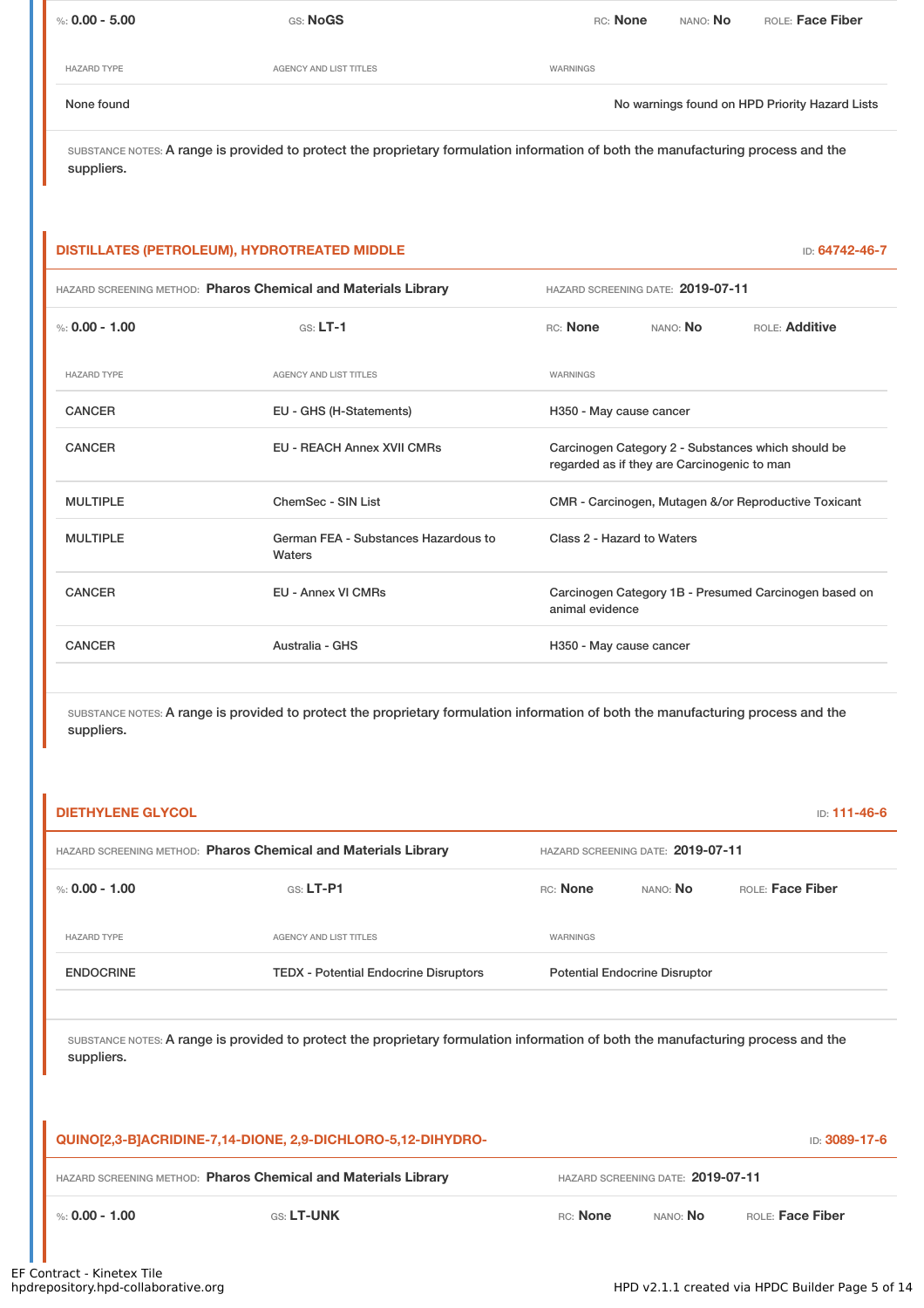| %: 0.00 - 5.00     | <b>GS: NoGS</b>        | ROLE: Face Fiber<br>RC: None<br>NANO: No       |
|--------------------|------------------------|------------------------------------------------|
| <b>HAZARD TYPE</b> | AGENCY AND LIST TITLES | WARNINGS                                       |
| None found         |                        | No warnings found on HPD Priority Hazard Lists |

## **DISTILLATES (PETROLEUM), HYDROTREATED MIDDLE** ID: **64742-46-7**

| HAZARD SCREENING METHOD: Pharos Chemical and Materials Library |                                                |                            | HAZARD SCREENING DATE: 2019-07-11           |                                                       |
|----------------------------------------------------------------|------------------------------------------------|----------------------------|---------------------------------------------|-------------------------------------------------------|
| %: $0.00 - 1.00$                                               | $GS: LT-1$                                     | RC: None                   | NANO: No                                    | ROLE: Additive                                        |
| <b>HAZARD TYPE</b>                                             | <b>AGENCY AND LIST TITLES</b>                  | <b>WARNINGS</b>            |                                             |                                                       |
| <b>CANCER</b>                                                  | EU - GHS (H-Statements)                        | H350 - May cause cancer    |                                             |                                                       |
| <b>CANCER</b>                                                  | <b>EU - REACH Annex XVII CMRs</b>              |                            | regarded as if they are Carcinogenic to man | Carcinogen Category 2 - Substances which should be    |
| <b>MULTIPLE</b>                                                | ChemSec - SIN List                             |                            |                                             | CMR - Carcinogen, Mutagen &/or Reproductive Toxicant  |
| <b>MULTIPLE</b>                                                | German FEA - Substances Hazardous to<br>Waters | Class 2 - Hazard to Waters |                                             |                                                       |
| <b>CANCER</b>                                                  | <b>EU - Annex VI CMRs</b>                      | animal evidence            |                                             | Carcinogen Category 1B - Presumed Carcinogen based on |
| <b>CANCER</b>                                                  | Australia - GHS                                | H350 - May cause cancer    |                                             |                                                       |

| <b>DIETHYLENE GLYCOL</b> |                                                                                                                                   |          |                                      | ID: 111-46-6     |
|--------------------------|-----------------------------------------------------------------------------------------------------------------------------------|----------|--------------------------------------|------------------|
|                          | HAZARD SCREENING METHOD: Pharos Chemical and Materials Library                                                                    |          | HAZARD SCREENING DATE: 2019-07-11    |                  |
| %: $0.00 - 1.00$         | $GS: LT-P1$                                                                                                                       | RC: None | NANO: No                             | ROLE: Face Fiber |
| <b>HAZARD TYPE</b>       | <b>AGENCY AND LIST TITLES</b>                                                                                                     | WARNINGS |                                      |                  |
| <b>ENDOCRINE</b>         | <b>TEDX - Potential Endocrine Disruptors</b>                                                                                      |          | <b>Potential Endocrine Disruptor</b> |                  |
| suppliers.               | SUBSTANCE NOTES: A range is provided to protect the proprietary formulation information of both the manufacturing process and the |          |                                      |                  |
|                          | QUINO[2,3-B]ACRIDINE-7,14-DIONE, 2,9-DICHLORO-5,12-DIHYDRO-                                                                       |          |                                      | ID: 3089-17-6    |
|                          | HAZARD SCREENING METHOD: Pharos Chemical and Materials Library                                                                    |          | HAZARD SCREENING DATE: 2019-07-11    |                  |
| %: $0.00 - 1.00$         | GS: LT-UNK                                                                                                                        | RC: None | NANO: No                             | ROLE: Face Fiber |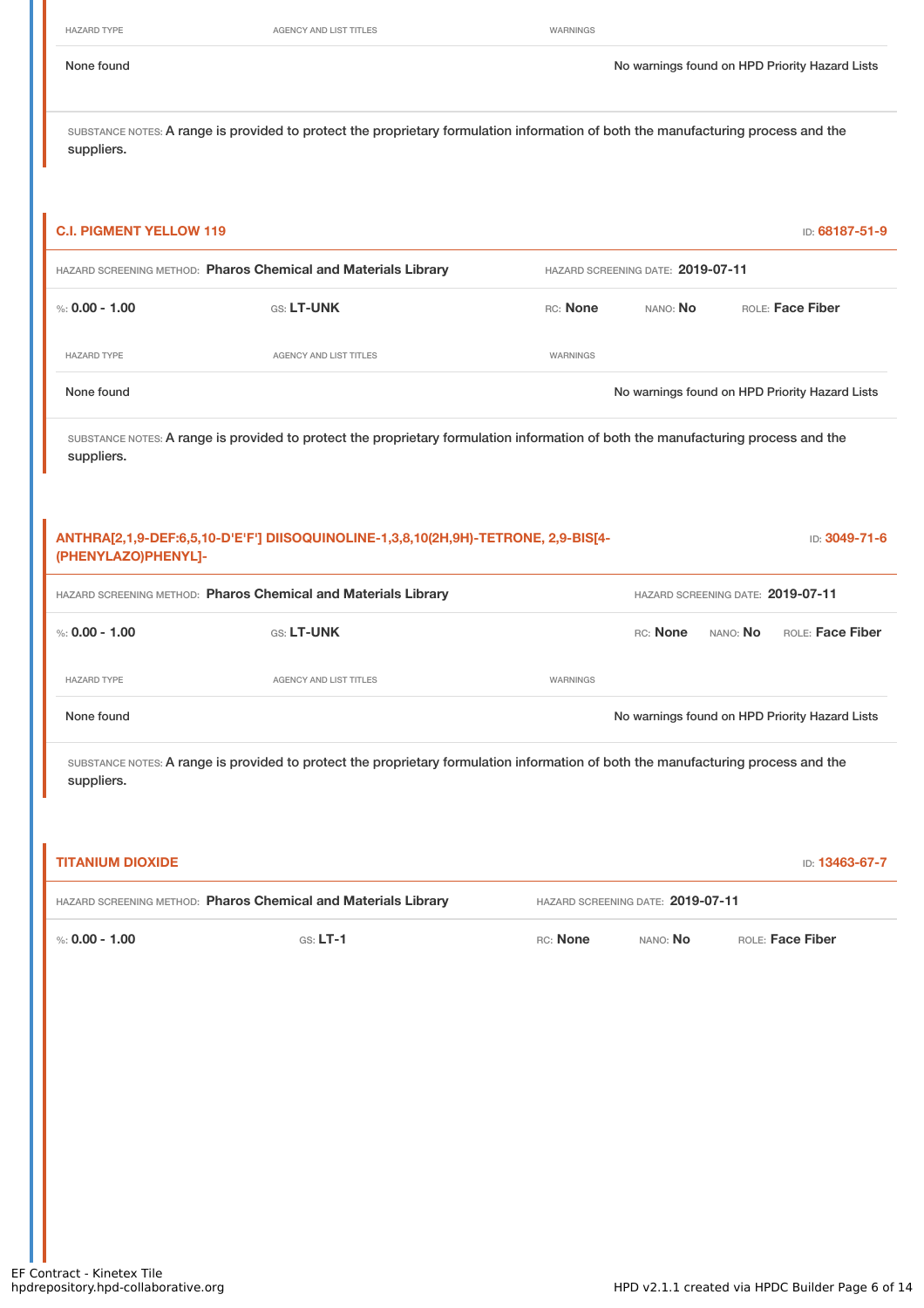HAZARD TYPE **AGENCY AND LIST TITLES** WARNINGS

None found Nowarnings found on HPD Priority Hazard Lists

| <b>C.I. PIGMENT YELLOW 119</b>                                 |                                                                                                                                   |          |                                   |                                   | ID: 68187-51-9                                 |
|----------------------------------------------------------------|-----------------------------------------------------------------------------------------------------------------------------------|----------|-----------------------------------|-----------------------------------|------------------------------------------------|
| HAZARD SCREENING METHOD: Pharos Chemical and Materials Library |                                                                                                                                   |          | HAZARD SCREENING DATE: 2019-07-11 |                                   |                                                |
| %: $0.00 - 1.00$                                               | GS: LT-UNK                                                                                                                        | RC: None | NANO: No                          |                                   | ROLE: Face Fiber                               |
| <b>HAZARD TYPE</b>                                             | <b>AGENCY AND LIST TITLES</b>                                                                                                     | WARNINGS |                                   |                                   |                                                |
| None found                                                     |                                                                                                                                   |          |                                   |                                   | No warnings found on HPD Priority Hazard Lists |
| suppliers.                                                     | SUBSTANCE NOTES: A range is provided to protect the proprietary formulation information of both the manufacturing process and the |          |                                   |                                   |                                                |
|                                                                | ANTHRA[2,1,9-DEF:6,5,10-D'E'F'] DIISOQUINOLINE-1,3,8,10(2H,9H)-TETRONE, 2,9-BIS[4-                                                |          |                                   |                                   |                                                |
| (PHENYLAZO)PHENYL]-                                            |                                                                                                                                   |          |                                   |                                   | ID: 3049-71-6                                  |
| HAZARD SCREENING METHOD: Pharos Chemical and Materials Library |                                                                                                                                   |          |                                   | HAZARD SCREENING DATE: 2019-07-11 |                                                |
| %: $0.00 - 1.00$                                               | GS: LT-UNK                                                                                                                        |          | RC: None                          | NANO: No                          | ROLE: Face Fiber                               |
| <b>HAZARD TYPE</b>                                             | <b>AGENCY AND LIST TITLES</b>                                                                                                     | WARNINGS |                                   |                                   |                                                |
| None found                                                     |                                                                                                                                   |          |                                   |                                   | No warnings found on HPD Priority Hazard Lists |

| <b>TITANIUM DIOXIDE</b>                                        |            |          |                                   | <b>ID: 13463-67-7</b> |
|----------------------------------------------------------------|------------|----------|-----------------------------------|-----------------------|
| HAZARD SCREENING METHOD: Pharos Chemical and Materials Library |            |          | HAZARD SCREENING DATE: 2019-07-11 |                       |
| %: 0.00 - 1.00                                                 | $GS: LT-1$ | RC: None | NANO: <b>No</b>                   | ROLE: Face Fiber      |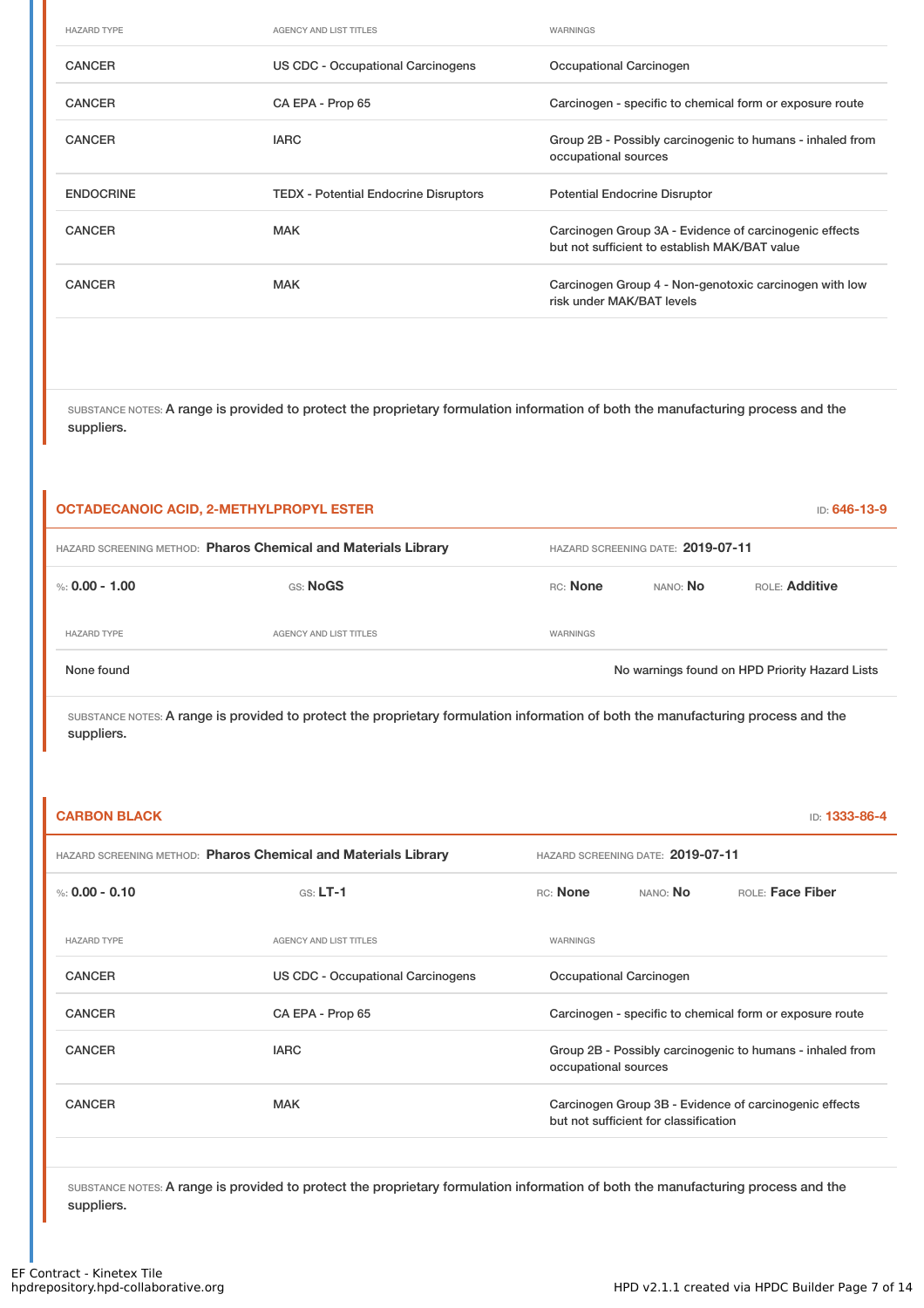| <b>HAZARD TYPE</b> | <b>AGENCY AND LIST TITLES</b>                | WARNINGS                                                                                                |
|--------------------|----------------------------------------------|---------------------------------------------------------------------------------------------------------|
| <b>CANCER</b>      | US CDC - Occupational Carcinogens            | Occupational Carcinogen                                                                                 |
| <b>CANCER</b>      | CA EPA - Prop 65                             | Carcinogen - specific to chemical form or exposure route                                                |
| <b>CANCER</b>      | <b>IARC</b>                                  | Group 2B - Possibly carcinogenic to humans - inhaled from<br>occupational sources                       |
|                    |                                              |                                                                                                         |
| <b>ENDOCRINE</b>   | <b>TEDX - Potential Endocrine Disruptors</b> | <b>Potential Endocrine Disruptor</b>                                                                    |
| <b>CANCER</b>      | <b>MAK</b>                                   | Carcinogen Group 3A - Evidence of carcinogenic effects<br>but not sufficient to establish MAK/BAT value |

| <b>OCTADECANOIC ACID, 2-METHYLPROPYL ESTER</b>                 |                               |                                   |          | ID: 646-13-9                                   |
|----------------------------------------------------------------|-------------------------------|-----------------------------------|----------|------------------------------------------------|
| HAZARD SCREENING METHOD: Pharos Chemical and Materials Library |                               | HAZARD SCREENING DATE: 2019-07-11 |          |                                                |
| %: 0.00 - 1.00                                                 | GS: NoGS                      | RC: None                          | NANO: NO | ROLE: Additive                                 |
| <b>HAZARD TYPE</b>                                             | <b>AGENCY AND LIST TITLES</b> | WARNINGS                          |          |                                                |
| None found                                                     |                               |                                   |          | No warnings found on HPD Priority Hazard Lists |

SUBSTANCE NOTES: A range is provided to protect the proprietary formulation information of both the manufacturing process and the suppliers.

| <b>CARBON BLACK</b> |                                                                |                      |                                       | ID: 1333-86-4                                             |
|---------------------|----------------------------------------------------------------|----------------------|---------------------------------------|-----------------------------------------------------------|
|                     | HAZARD SCREENING METHOD: Pharos Chemical and Materials Library |                      | HAZARD SCREENING DATE: 2019-07-11     |                                                           |
| %: $0.00 - 0.10$    | $GS: LT-1$                                                     | RC: None             | NANO: <b>No</b>                       | ROLE: Face Fiber                                          |
| <b>HAZARD TYPE</b>  | <b>AGENCY AND LIST TITLES</b>                                  | WARNINGS             |                                       |                                                           |
| <b>CANCER</b>       | US CDC - Occupational Carcinogens                              |                      | Occupational Carcinogen               |                                                           |
| <b>CANCER</b>       | CA EPA - Prop 65                                               |                      |                                       | Carcinogen - specific to chemical form or exposure route  |
| <b>CANCER</b>       | <b>IARC</b>                                                    | occupational sources |                                       | Group 2B - Possibly carcinogenic to humans - inhaled from |
| <b>CANCER</b>       | <b>MAK</b>                                                     |                      | but not sufficient for classification | Carcinogen Group 3B - Evidence of carcinogenic effects    |
|                     |                                                                |                      |                                       |                                                           |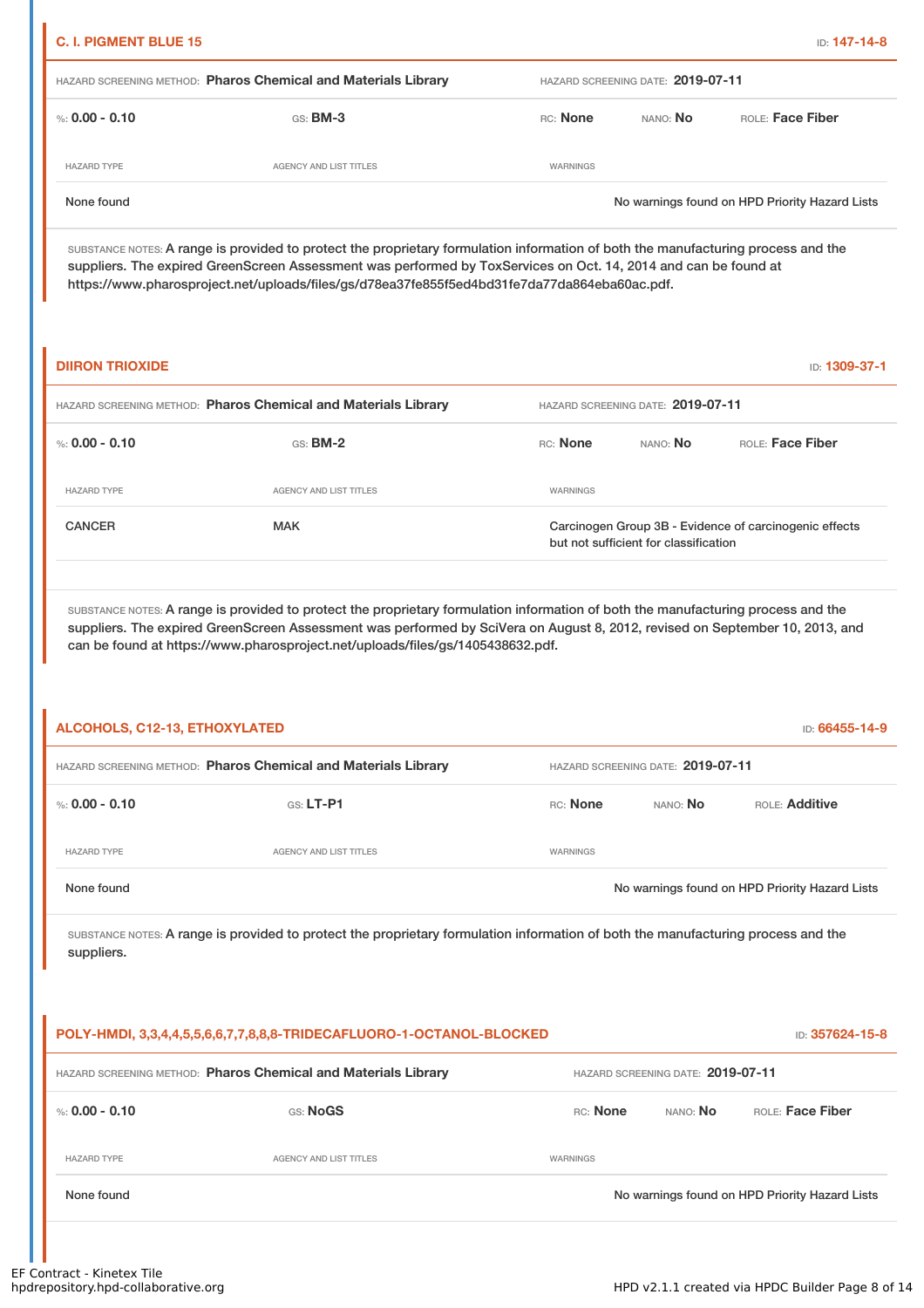| <b>C. I. PIGMENT BLUE 15</b><br>ID: <b>147-14-8</b>            |                                   |          |                 |                                                |
|----------------------------------------------------------------|-----------------------------------|----------|-----------------|------------------------------------------------|
| HAZARD SCREENING METHOD: Pharos Chemical and Materials Library | HAZARD SCREENING DATE: 2019-07-11 |          |                 |                                                |
| %: 0.00 - 0.10                                                 | $GS:$ BM-3                        | RC: None | NANO: <b>No</b> | ROLE: Face Fiber                               |
| <b>HAZARD TYPE</b>                                             | AGENCY AND LIST TITLES            | WARNINGS |                 |                                                |
| None found                                                     |                                   |          |                 | No warnings found on HPD Priority Hazard Lists |

SUBSTANCE NOTES: A range is provided to protect the proprietary formulation information of both the manufacturing process and the suppliers. The expired GreenScreen Assessment was performed by ToxServices on Oct. 14, 2014 and can be found at https://www.pharosproject.net/uploads/files/gs/d78ea37fe855f5ed4bd31fe7da77da864eba60ac.pdf.

| <b>DIIRON TRIOXIDE</b>                                         |                               |                                                                                                 |          | ID: 1309-37-1    |  |
|----------------------------------------------------------------|-------------------------------|-------------------------------------------------------------------------------------------------|----------|------------------|--|
| HAZARD SCREENING METHOD: Pharos Chemical and Materials Library |                               | HAZARD SCREENING DATE: 2019-07-11                                                               |          |                  |  |
| %: $0.00 - 0.10$                                               | $GS:$ BM-2                    | RC: None                                                                                        | NANO: No | ROLE: Face Fiber |  |
| <b>HAZARD TYPE</b>                                             | <b>AGENCY AND LIST TITLES</b> | <b>WARNINGS</b>                                                                                 |          |                  |  |
| <b>CANCER</b>                                                  | <b>MAK</b>                    | Carcinogen Group 3B - Evidence of carcinogenic effects<br>but not sufficient for classification |          |                  |  |

SUBSTANCE NOTES: A range is provided to protect the proprietary formulation information of both the manufacturing process and the suppliers. The expired GreenScreen Assessment was performed by SciVera on August 8, 2012, revised on September 10, 2013, and can be found at https://www.pharosproject.net/uploads/files/gs/1405438632.pdf.

| ALCOHOLS, C12-13, ETHOXYLATED<br>ID: 66455-14-9                |                        |                                   |                 |                                                |
|----------------------------------------------------------------|------------------------|-----------------------------------|-----------------|------------------------------------------------|
| HAZARD SCREENING METHOD: Pharos Chemical and Materials Library |                        | HAZARD SCREENING DATE: 2019-07-11 |                 |                                                |
| %: 0.00 - 0.10                                                 | $GS: LT-PI$            | RC: None                          | NANO: <b>No</b> | <b>ROLE: Additive</b>                          |
| <b>HAZARD TYPE</b>                                             | AGENCY AND LIST TITLES | WARNINGS                          |                 |                                                |
| None found                                                     |                        |                                   |                 | No warnings found on HPD Priority Hazard Lists |

| POLY-HMDI, 3,3,4,4,5,5,6,6,7,7,8,8,8-TRIDECAFLUORO-1-OCTANOL-BLOCKED |                                   |                 |                 |                                                |
|----------------------------------------------------------------------|-----------------------------------|-----------------|-----------------|------------------------------------------------|
| HAZARD SCREENING METHOD: Pharos Chemical and Materials Library       | HAZARD SCREENING DATE: 2019-07-11 |                 |                 |                                                |
| %: 0.00 - 0.10                                                       | GS: NoGS                          | <b>RC:</b> None | NANO: <b>No</b> | ROLE: Face Fiber                               |
| <b>HAZARD TYPE</b>                                                   | AGENCY AND LIST TITLES            | WARNINGS        |                 |                                                |
| None found                                                           |                                   |                 |                 | No warnings found on HPD Priority Hazard Lists |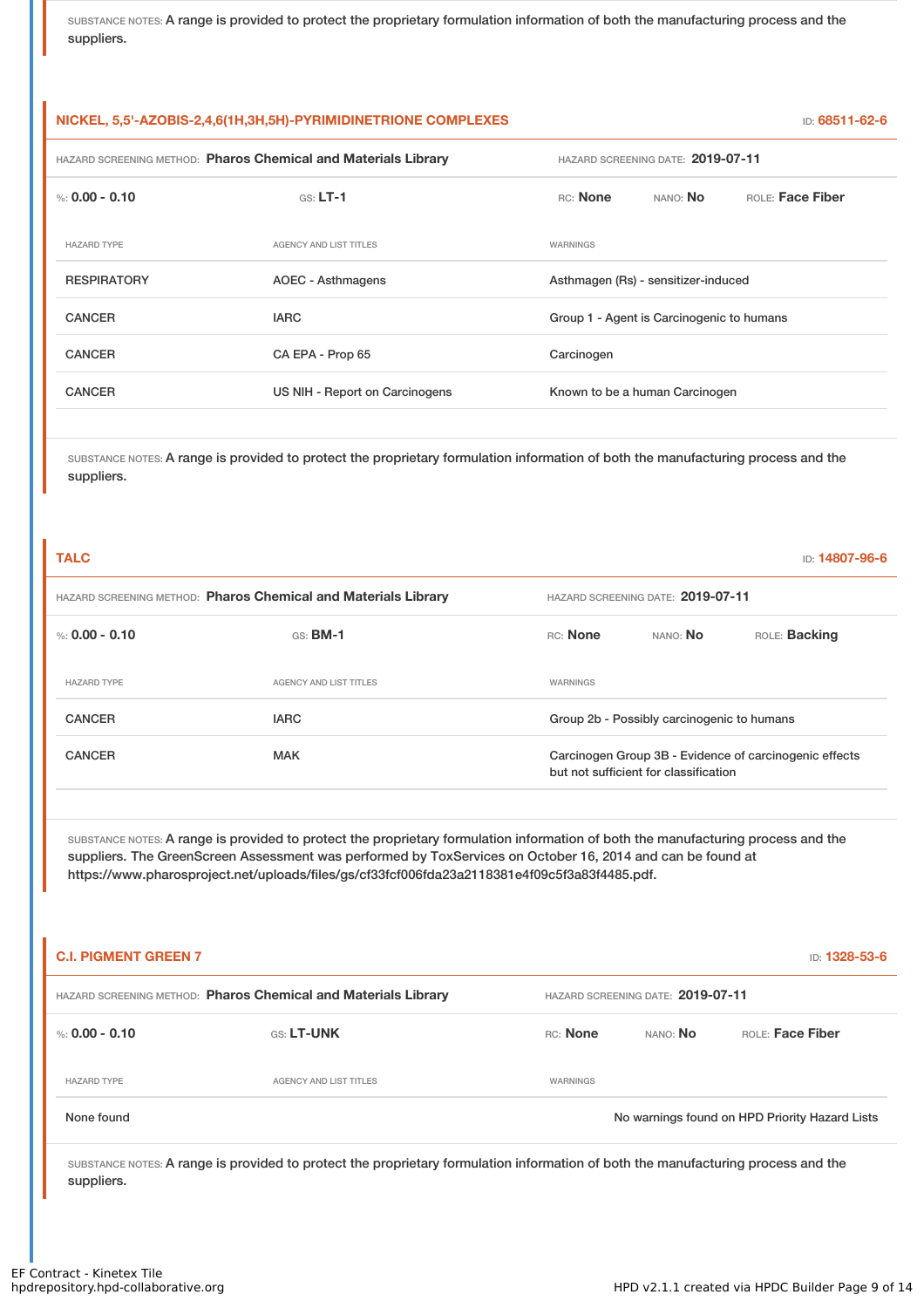| NICKEL, 5,5'-AZOBIS-2,4,6(1H,3H,5H)-PYRIMIDINETRIONE COMPLEXES |                                |                                           |                  |  |
|----------------------------------------------------------------|--------------------------------|-------------------------------------------|------------------|--|
| HAZARD SCREENING METHOD: Pharos Chemical and Materials Library |                                | HAZARD SCREENING DATE: 2019-07-11         |                  |  |
| %: 0.00 - 0.10                                                 | $GS: LT-1$                     | RC: None<br>NANO: No                      | ROLE: Face Fiber |  |
| <b>HAZARD TYPE</b>                                             | <b>AGENCY AND LIST TITLES</b>  | WARNINGS                                  |                  |  |
| <b>RESPIRATORY</b>                                             | <b>AOEC - Asthmagens</b>       | Asthmagen (Rs) - sensitizer-induced       |                  |  |
| <b>CANCER</b>                                                  | <b>IARC</b>                    | Group 1 - Agent is Carcinogenic to humans |                  |  |
| <b>CANCER</b>                                                  | CA EPA - Prop 65               | Carcinogen                                |                  |  |
| <b>CANCER</b>                                                  | US NIH - Report on Carcinogens | Known to be a human Carcinogen            |                  |  |
|                                                                |                                |                                           |                  |  |

SUBSTANCE NOTES: A range is provided to protect the proprietary formulation information of both the manufacturing process and the suppliers.

| <b>TALC</b>                                                    |                        |                                   |                                            | ID: 14807-96-6                                         |  |
|----------------------------------------------------------------|------------------------|-----------------------------------|--------------------------------------------|--------------------------------------------------------|--|
| HAZARD SCREENING METHOD: Pharos Chemical and Materials Library |                        | HAZARD SCREENING DATE: 2019-07-11 |                                            |                                                        |  |
| %: 0.00 - 0.10                                                 | $GS:$ BM-1             | RC: None                          | NANO: No                                   | ROLE: Backing                                          |  |
| <b>HAZARD TYPE</b>                                             | AGENCY AND LIST TITLES | <b>WARNINGS</b>                   |                                            |                                                        |  |
| <b>CANCER</b>                                                  | <b>IARC</b>            |                                   | Group 2b - Possibly carcinogenic to humans |                                                        |  |
| <b>CANCER</b>                                                  | <b>MAK</b>             |                                   | but not sufficient for classification      | Carcinogen Group 3B - Evidence of carcinogenic effects |  |

SUBSTANCE NOTES: A range is provided to protect the proprietary formulation information of both the manufacturing process and the suppliers. The GreenScreen Assessment was performed by ToxServices on October 16, 2014 and can be found at https://www.pharosproject.net/uploads/files/gs/cf33fcf006fda23a2118381e4f09c5f3a83f4485.pdf.

| <b>C.I. PIGMENT GREEN 7</b>                                    |                        |                                   |          | ID: 1328-53-6                                  |
|----------------------------------------------------------------|------------------------|-----------------------------------|----------|------------------------------------------------|
| HAZARD SCREENING METHOD: Pharos Chemical and Materials Library |                        | HAZARD SCREENING DATE: 2019-07-11 |          |                                                |
| %: 0.00 - 0.10                                                 | <b>GS: LT-UNK</b>      | RC: None                          | NANO: No | ROLE: Face Fiber                               |
| <b>HAZARD TYPE</b>                                             | AGENCY AND LIST TITLES | WARNINGS                          |          |                                                |
| None found                                                     |                        |                                   |          | No warnings found on HPD Priority Hazard Lists |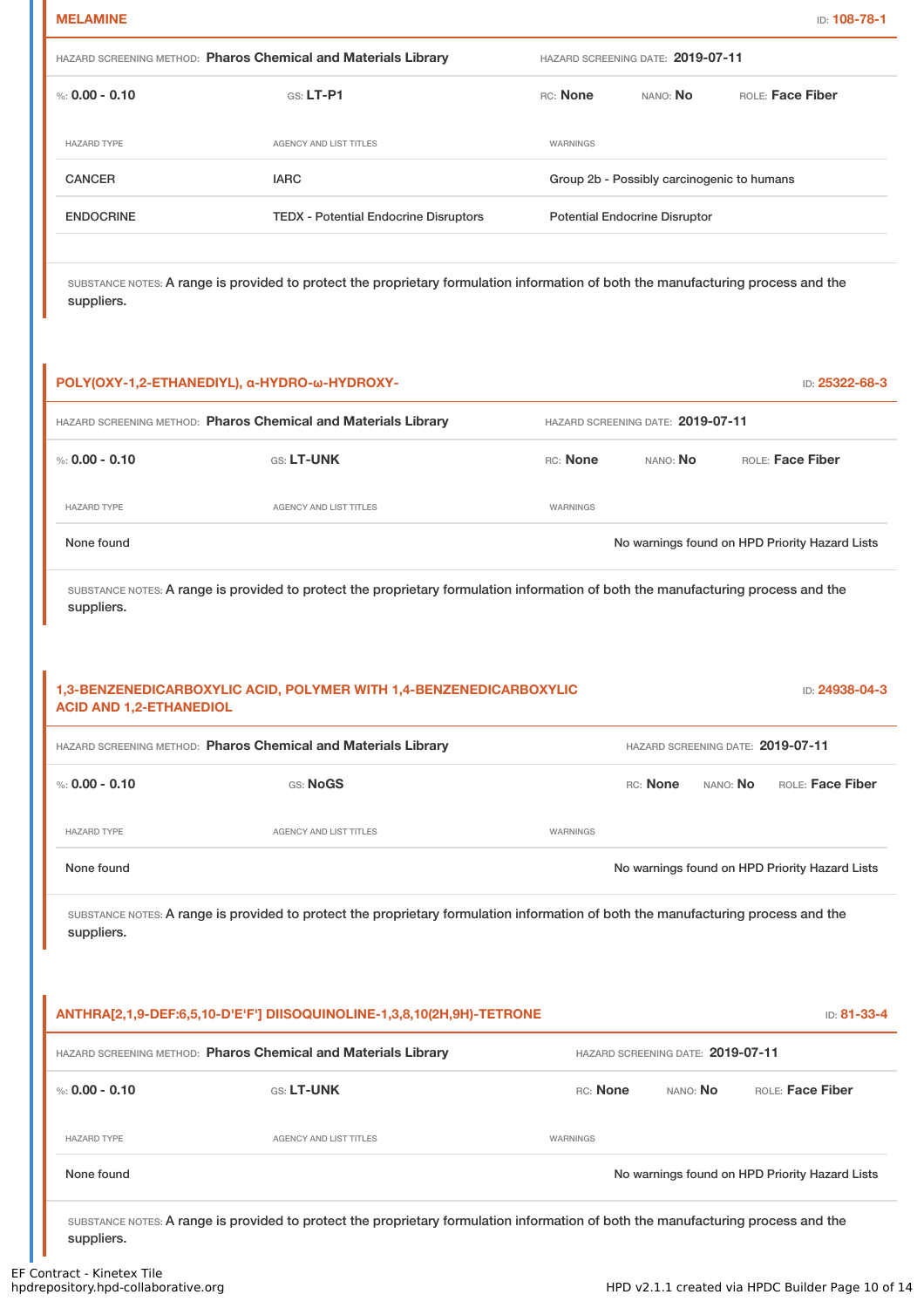| мc |  | AMIN |  |
|----|--|------|--|

T

| HAZARD SCREENING METHOD: Pharos Chemical and Materials Library |                                              | HAZARD SCREENING DATE: 2019-07-11          |          |                         |
|----------------------------------------------------------------|----------------------------------------------|--------------------------------------------|----------|-------------------------|
| %: $0.00 - 0.10$                                               | $GS: LT-P1$                                  | <b>RC:</b> None                            | NANO: No | <b>ROLE: Face Fiber</b> |
| <b>HAZARD TYPE</b>                                             | AGENCY AND LIST TITLES                       | WARNINGS                                   |          |                         |
| <b>CANCER</b>                                                  | <b>IARC</b>                                  | Group 2b - Possibly carcinogenic to humans |          |                         |
| <b>ENDOCRINE</b>                                               | <b>TEDX</b> - Potential Endocrine Disruptors | <b>Potential Endocrine Disruptor</b>       |          |                         |
|                                                                |                                              |                                            |          |                         |

SUBSTANCE NOTES: A range is provided to protect the proprietary formulation information of both the manufacturing process and the suppliers.

|                                | POLY(OXY-1,2-ETHANEDIYL), α-HYDRO-ω-HYDROXY-                                                                                      |          |                                   | ID: 25322-68-3                                 |
|--------------------------------|-----------------------------------------------------------------------------------------------------------------------------------|----------|-----------------------------------|------------------------------------------------|
|                                | HAZARD SCREENING METHOD: Pharos Chemical and Materials Library                                                                    |          | HAZARD SCREENING DATE: 2019-07-11 |                                                |
| %: $0.00 - 0.10$               | GS: LT-UNK                                                                                                                        | RC: None | NANO: No                          | ROLE: Face Fiber                               |
| <b>HAZARD TYPE</b>             | <b>AGENCY AND LIST TITLES</b>                                                                                                     | WARNINGS |                                   |                                                |
| None found                     |                                                                                                                                   |          |                                   | No warnings found on HPD Priority Hazard Lists |
| suppliers.                     | SUBSTANCE NOTES: A range is provided to protect the proprietary formulation information of both the manufacturing process and the |          |                                   |                                                |
| <b>ACID AND 1,2-ETHANEDIOL</b> | 1,3-BENZENEDICARBOXYLIC ACID, POLYMER WITH 1,4-BENZENEDICARBOXYLIC                                                                |          |                                   | ID: 24938-04-3                                 |
|                                | HAZARD SCREENING METHOD: Pharos Chemical and Materials Library                                                                    |          |                                   | HAZARD SCREENING DATE: 2019-07-11              |
| %: $0.00 - 0.10$               | GS: NoGS                                                                                                                          |          | RC: None                          | ROLE: Face Fiber<br>NANO: No                   |
| <b>HAZARD TYPE</b>             | <b>AGENCY AND LIST TITLES</b>                                                                                                     | WARNINGS |                                   |                                                |
| None found                     |                                                                                                                                   |          |                                   | No warnings found on HPD Priority Hazard Lists |
| suppliers.                     | SUBSTANCE NOTES: A range is provided to protect the proprietary formulation information of both the manufacturing process and the |          |                                   |                                                |
|                                | ANTHRA[2,1,9-DEF:6,5,10-D'E'F'] DIISOQUINOLINE-1,3,8,10(2H,9H)-TETRONE                                                            |          |                                   | ID: 81-33-4                                    |
|                                | HAZARD SCREENING METHOD: Pharos Chemical and Materials Library                                                                    |          | HAZARD SCREENING DATE: 2019-07-11 |                                                |
| %: $0.00 - 0.10$               | GS: LT-UNK                                                                                                                        | RC: None | NANO: No                          | ROLE: Face Fiber                               |
| <b>HAZARD TYPE</b>             | <b>AGENCY AND LIST TITLES</b>                                                                                                     | WARNINGS |                                   |                                                |
| None found                     |                                                                                                                                   |          |                                   | No warnings found on HPD Priority Hazard Lists |
| suppliers.                     | SUBSTANCE NOTES: A range is provided to protect the proprietary formulation information of both the manufacturing process and the |          |                                   |                                                |

I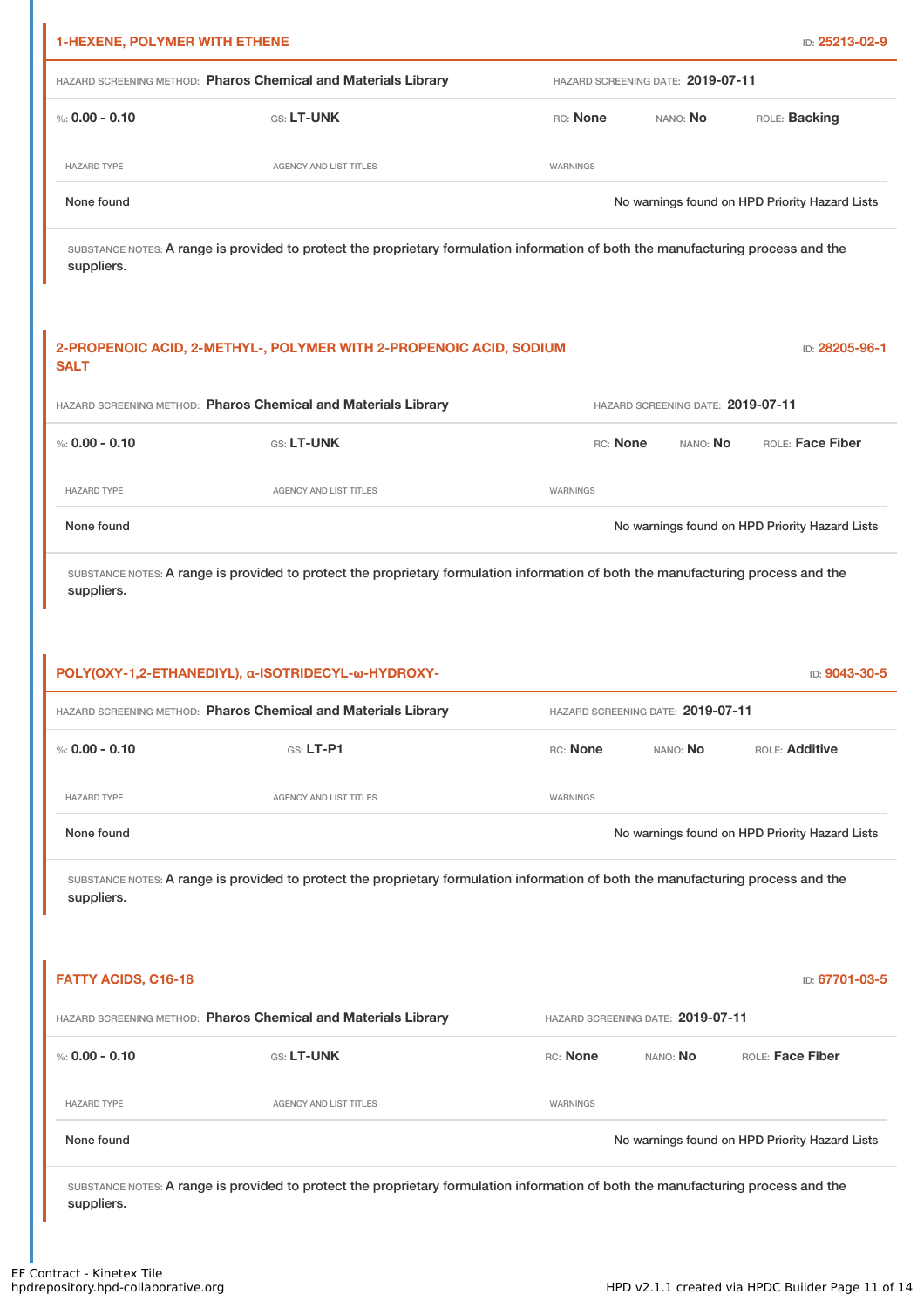| <b>1-HEXENE, POLYMER WITH ETHENE</b>                           |                                                                                                                                   |                 |                                   | ID: 25213-02-9                                 |  |
|----------------------------------------------------------------|-----------------------------------------------------------------------------------------------------------------------------------|-----------------|-----------------------------------|------------------------------------------------|--|
| HAZARD SCREENING METHOD: Pharos Chemical and Materials Library |                                                                                                                                   |                 | HAZARD SCREENING DATE: 2019-07-11 |                                                |  |
| %: $0.00 - 0.10$                                               | GS: LT-UNK                                                                                                                        | RC: None        | NANO: <b>No</b>                   | ROLE: Backing                                  |  |
| <b>HAZARD TYPE</b>                                             | AGENCY AND LIST TITLES                                                                                                            | WARNINGS        |                                   |                                                |  |
| None found                                                     |                                                                                                                                   |                 |                                   | No warnings found on HPD Priority Hazard Lists |  |
| suppliers.                                                     | SUBSTANCE NOTES: A range is provided to protect the proprietary formulation information of both the manufacturing process and the |                 |                                   |                                                |  |
| <b>SALT</b>                                                    | 2-PROPENOIC ACID, 2-METHYL-, POLYMER WITH 2-PROPENOIC ACID, SODIUM                                                                |                 |                                   | ID: 28205-96-1                                 |  |
|                                                                | HAZARD SCREENING METHOD: Pharos Chemical and Materials Library                                                                    |                 | HAZARD SCREENING DATE: 2019-07-11 |                                                |  |
| %: $0.00 - 0.10$                                               | GS: LT-UNK                                                                                                                        | RC: None        | NANO: No                          | ROLE: Face Fiber                               |  |
| <b>HAZARD TYPE</b>                                             | <b>AGENCY AND LIST TITLES</b>                                                                                                     | WARNINGS        |                                   |                                                |  |
| None found                                                     |                                                                                                                                   |                 |                                   | No warnings found on HPD Priority Hazard Lists |  |
|                                                                | POLY(OXY-1,2-ETHANEDIYL), α-ISOTRIDECYL-ω-HYDROXY-<br>HAZARD SCREENING METHOD: Pharos Chemical and Materials Library              |                 | HAZARD SCREENING DATE: 2019-07-11 | ID: 9043-30-5                                  |  |
| %: $0.00 - 0.10$                                               | GS: LT-P1                                                                                                                         | RC: None        | NANO: No                          | ROLE: Additive                                 |  |
| <b>HAZARD TYPE</b>                                             | AGENCY AND LIST TITLES                                                                                                            | WARNINGS        |                                   |                                                |  |
| None found                                                     |                                                                                                                                   |                 |                                   | No warnings found on HPD Priority Hazard Lists |  |
| suppliers.                                                     | SUBSTANCE NOTES: A range is provided to protect the proprietary formulation information of both the manufacturing process and the |                 |                                   |                                                |  |
| <b>FATTY ACIDS, C16-18</b>                                     |                                                                                                                                   |                 |                                   | ID: 67701-03-5                                 |  |
|                                                                | HAZARD SCREENING METHOD: Pharos Chemical and Materials Library                                                                    |                 | HAZARD SCREENING DATE: 2019-07-11 |                                                |  |
| %: $0.00 - 0.10$                                               | GS: LT-UNK                                                                                                                        | RC: None        | NANO: No                          | ROLE: Face Fiber                               |  |
| <b>HAZARD TYPE</b>                                             | <b>AGENCY AND LIST TITLES</b>                                                                                                     | <b>WARNINGS</b> |                                   |                                                |  |
| None found                                                     |                                                                                                                                   |                 |                                   | No warnings found on HPD Priority Hazard Lists |  |
| suppliers.                                                     | SUBSTANCE NOTES: A range is provided to protect the proprietary formulation information of both the manufacturing process and the |                 |                                   |                                                |  |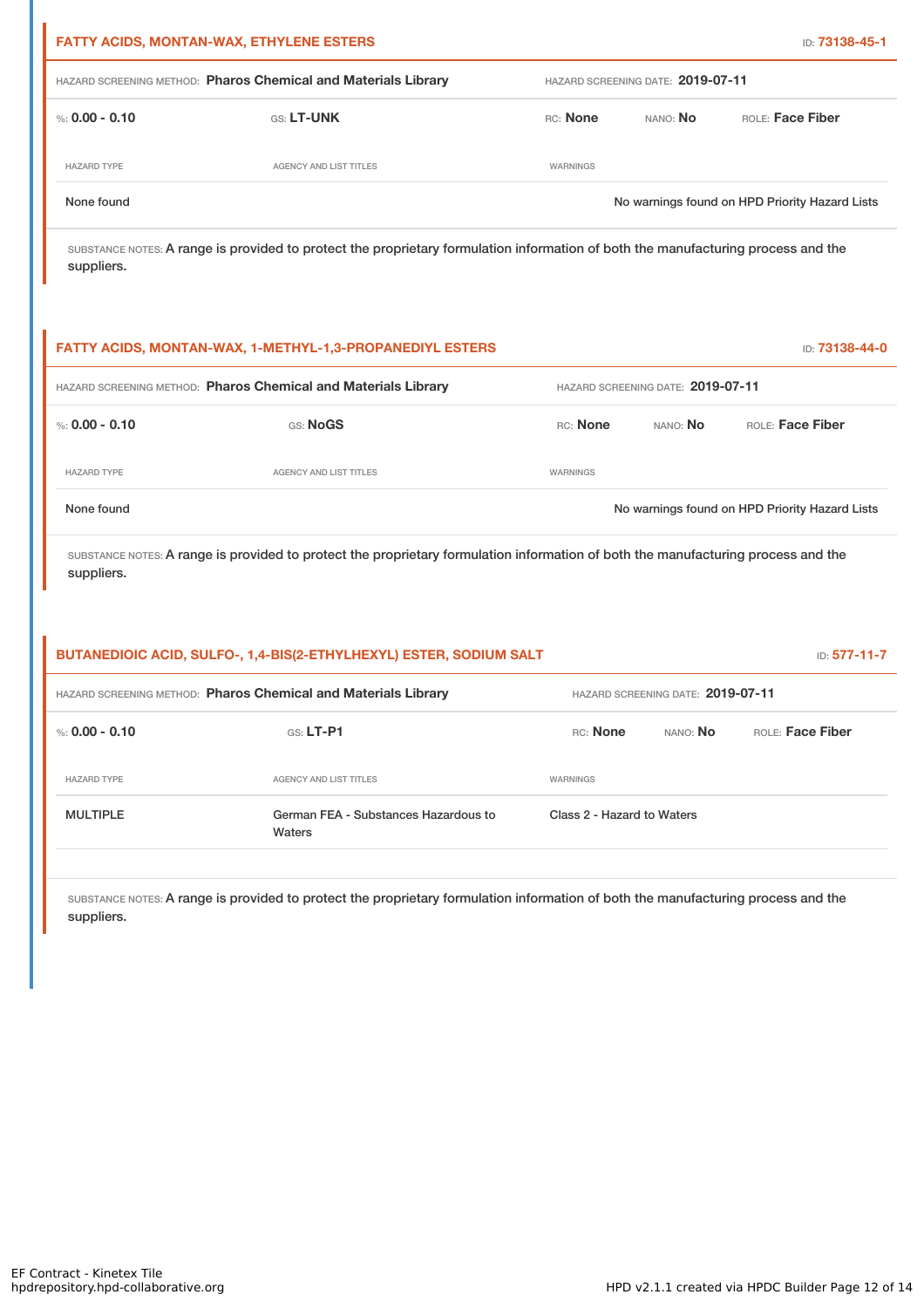| <b>FATTY ACIDS, MONTAN-WAX, ETHYLENE ESTERS</b>                |                               |                                   |          | ID: 73138-45-1                                 |  |
|----------------------------------------------------------------|-------------------------------|-----------------------------------|----------|------------------------------------------------|--|
| HAZARD SCREENING METHOD: Pharos Chemical and Materials Library |                               | HAZARD SCREENING DATE: 2019-07-11 |          |                                                |  |
| %: $0.00 - 0.10$                                               | <b>GS: LT-UNK</b>             | RC: None                          | NANO: No | ROLE: Face Fiber                               |  |
| <b>HAZARD TYPE</b>                                             | <b>AGENCY AND LIST TITLES</b> | WARNINGS                          |          |                                                |  |
| None found                                                     |                               |                                   |          | No warnings found on HPD Priority Hazard Lists |  |
|                                                                |                               |                                   |          |                                                |  |

|                                                                | <b>FATTY ACIDS, MONTAN-WAX, 1-METHYL-1,3-PROPANEDIYL ESTERS</b> |                                   |          | ID: 73138-44-0                                 |
|----------------------------------------------------------------|-----------------------------------------------------------------|-----------------------------------|----------|------------------------------------------------|
| HAZARD SCREENING METHOD: Pharos Chemical and Materials Library |                                                                 | HAZARD SCREENING DATE: 2019-07-11 |          |                                                |
| %: 0.00 - 0.10                                                 | GS: NoGS                                                        | RC: None                          | NANO: No | ROLE: Face Fiber                               |
| <b>HAZARD TYPE</b>                                             | AGENCY AND LIST TITLES                                          | WARNINGS                          |          |                                                |
| None found                                                     |                                                                 |                                   |          | No warnings found on HPD Priority Hazard Lists |

SUBSTANCE NOTES: A range is provided to protect the proprietary formulation information of both the manufacturing process and the suppliers.

| BUTANEDIOIC ACID, SULFO-, 1,4-BIS(2-ETHYLHEXYL) ESTER, SODIUM SALT |                                                |                                   |          | <b>ID: 577-11-7</b>     |  |
|--------------------------------------------------------------------|------------------------------------------------|-----------------------------------|----------|-------------------------|--|
| HAZARD SCREENING METHOD: Pharos Chemical and Materials Library     |                                                | HAZARD SCREENING DATE: 2019-07-11 |          |                         |  |
| %: 0.00 - 0.10                                                     | $GS: LT-P1$                                    | RC: None                          | NANO: No | <b>ROLE: Face Fiber</b> |  |
| <b>HAZARD TYPE</b>                                                 | AGENCY AND LIST TITLES                         | WARNINGS                          |          |                         |  |
| <b>MULTIPLE</b>                                                    | German FEA - Substances Hazardous to<br>Waters | Class 2 - Hazard to Waters        |          |                         |  |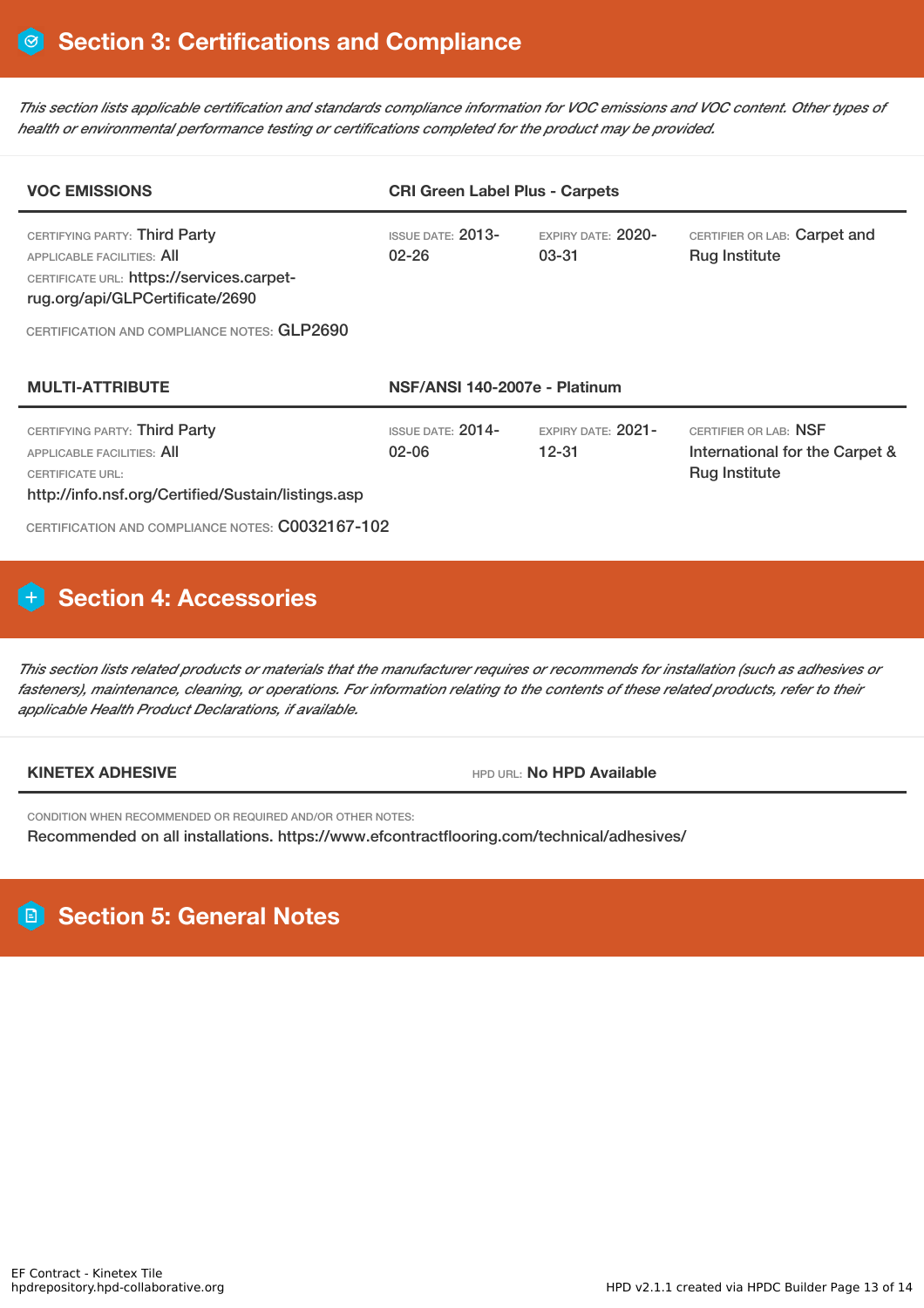This section lists applicable certification and standards compliance information for VOC emissions and VOC content. Other types of *health or environmental performance testing or certifications completed for the product may be provided.*

| <b>VOC EMISSIONS</b>                                                                                                                                                                              | <b>CRI Green Label Plus - Carpets</b> |                                     |                                                                                 |  |
|---------------------------------------------------------------------------------------------------------------------------------------------------------------------------------------------------|---------------------------------------|-------------------------------------|---------------------------------------------------------------------------------|--|
| CERTIFYING PARTY: Third Party<br><b>APPLICABLE FACILITIES: AII</b><br>CERTIFICATE URL: https://services.carpet-<br>rug.org/api/GLPCertificate/2690<br>CERTIFICATION AND COMPLIANCE NOTES: GLP2690 | $ISSUF$ DATE: $2013-$<br>$02 - 26$    | $FXPIRY DATF: 2020-$<br>$03 - 31$   | CERTIFIER OR LAB: Carpet and<br><b>Rug Institute</b>                            |  |
| <b>MULTI-ATTRIBUTE</b><br>NSF/ANSI 140-2007e - Platinum                                                                                                                                           |                                       |                                     |                                                                                 |  |
| CERTIFYING PARTY: Third Party<br>APPLICABLE FACILITIES: AII<br><b>CERTIFICATE URL:</b><br>http://info.nsf.org/Certified/Sustain/listings.asp<br>CERTIFICATION AND COMPLIANCE NOTES: C0032167-102  | <b>ISSUE DATE: 2014-</b><br>$02 - 06$ | $EXPIRY$ DATE: $2021-$<br>$12 - 31$ | CERTIFIER OR LAB: NSF<br>International for the Carpet &<br><b>Rug Institute</b> |  |

# **Section 4: Accessories**

This section lists related products or materials that the manufacturer requires or recommends for installation (such as adhesives or fasteners), maintenance, cleaning, or operations. For information relating to the contents of these related products, refer to their *applicable Health Product Declarations, if available.*

**KINETEX ADHESIVE HPD Available** 

CONDITION WHEN RECOMMENDED OR REQUIRED AND/OR OTHER NOTES: Recommended on all installations. https://www.efcontractflooring.com/technical/adhesives/

# **Section 5: General Notes**